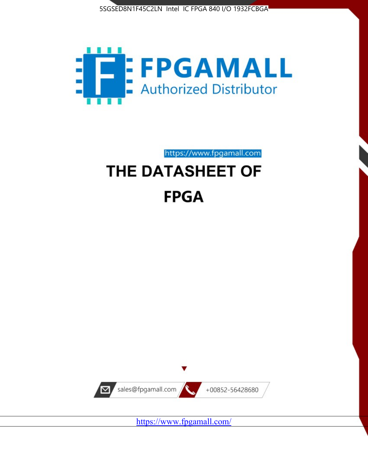



https://www.fpgamall.com

# THE DATASHEET OF **FPGA**



<https://www.fpgamall.com/>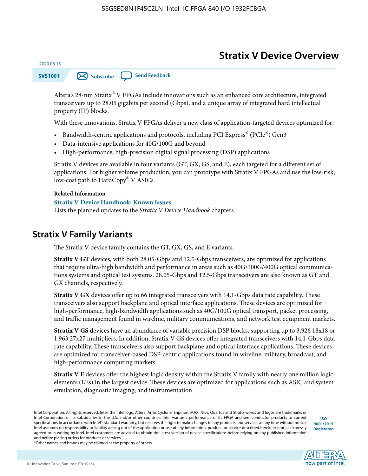# **Stratix V Device Overview**

**SV51001 [Subscribe](https://www.altera.com/servlets/subscriptions/alert?id=SV51001) [Send Feedback](mailto:FPGAtechdocfeedback@intel.com?subject=Feedback%20on%20(SV51001%202020.06.15)%20Stratix%20V%20Device%20Overview&body=We%20appreciate%20your%20feedback.%20In%20your%20comments,%20also%20specify%20the%20page%20number%20or%20paragraph.%20Thank%20you.)** 

Altera's 28-nm Stratix® V FPGAs include innovations such as an enhanced core architecture, integrated transceivers up to 28.05 gigabits per second (Gbps), and a unique array of integrated hard intellectual property (IP) blocks.

With these innovations, Stratix V FPGAs deliver a new class of application-targeted devices optimized for:

- Bandwidth-centric applications and protocols, including PCI Express® (PCIe®) Gen3
- Data-intensive applications for 40G/100G and beyond
- High-performance, high-precision digital signal processing (DSP) applications

Stratix V devices are available in four variants (GT, GX, GS, and E), each targeted for a different set of applications. For higher volume production, you can prototype with Stratix V FPGAs and use the low-risk, low-cost path to HardCopy® V ASICs.

#### **Related Information**

2020.06.15

#### **[Stratix V Device Handbook: Known Issues](http://www.altera.com/support/kdb/solutions/rd08242010_83.html)**

Lists the planned updates to the *Stratix V Device Handbook* chapters.

### **Stratix V Family Variants**

The Stratix V device family contains the GT, GX, GS, and E variants.

**Stratix V GT** devices, with both 28.05-Gbps and 12.5-Gbps transceivers, are optimized for applications that require ultra-high bandwidth and performance in areas such as 40G/100G/400G optical communica‐ tions systems and optical test systems. 28.05-Gbps and 12.5-Gbps transceivers are also known as GT and GX channels, respectively.

**Stratix V GX** devices offer up to 66 integrated transceivers with 14.1-Gbps data rate capability. These transceivers also support backplane and optical interface applications. These devices are optimized for high-performance, high-bandwidth applications such as 40G/100G optical transport, packet processing, and traffic management found in wireline, military communications, and network test equipment markets.

**Stratix V GS** devices have an abundance of variable precision DSP blocks, supporting up to 3,926 18x18 or 1,963 27x27 multipliers. In addition, Stratix V GS devices offer integrated transceivers with 14.1-Gbps data rate capability. These transceivers also support backplane and optical interface applications. These devices are optimized for transceiver-based DSP-centric applications found in wireline, military, broadcast, and high-performance computing markets.

**Stratix V E** devices offer the highest logic density within the Stratix V family with nearly one million logic elements (LEs) in the largest device. These devices are optimized for applications such as ASIC and system emulation, diagnostic imaging, and instrumentation.

**[ISO](http://www.altera.com/support/devices/reliability/certifications/rel-certifications.html) [9001:2015](http://www.altera.com/support/devices/reliability/certifications/rel-certifications.html) [Registered](http://www.altera.com/support/devices/reliability/certifications/rel-certifications.html)**

**low part of Intel** 

\*Other names and brands may be claimed as the property of others.

Intel Corporation. All rights reserved. Intel, the Intel logo, Altera, Arria, Cyclone, Enpirion, MAX, Nios, Quartus and Stratix words and logos are trademarks of Intel Corporation or its subsidiaries in the U.S. and/or other countries. Intel warrants performance of its FPGA and semiconductor products to current specifications in accordance with Intel's standard warranty, but reserves the right to make changes to any products and services at any time without notice. Intel assumes no responsibility or liability arising out of the application or use of any information, product, or service described herein except as expressly agreed to in writing by Intel. Intel customers are advised to obtain the latest version of device specifications before relying on any published information and before placing orders for products or services.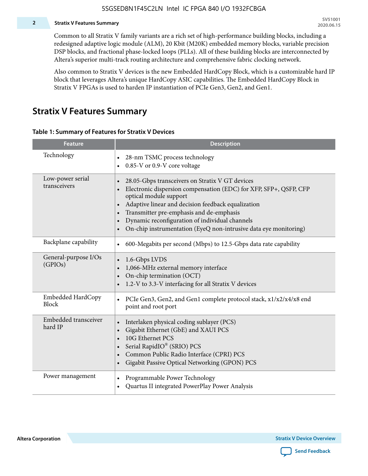#### **2 Stratix V Features Summary**

Common to all Stratix V family variants are a rich set of high-performance building blocks, including a redesigned adaptive logic module (ALM), 20 Kbit (M20K) embedded memory blocks, variable precision DSP blocks, and fractional phase-locked loops (PLLs). All of these building blocks are interconnected by Altera's superior multi-track routing architecture and comprehensive fabric clocking network.

Also common to Stratix V devices is the new Embedded HardCopy Block, which is a customizable hard IP block that leverages Altera's unique HardCopy ASIC capabilities. The Embedded HardCopy Block in Stratix V FPGAs is used to harden IP instantiation of PCIe Gen3, Gen2, and Gen1.

### **Stratix V Features Summary**

#### **Table 1: Summary of Features for Stratix V Devices**

| <b>Feature</b>                    | <b>Description</b>                                                                                                                                                                                                                                                                                                                                                                                                         |
|-----------------------------------|----------------------------------------------------------------------------------------------------------------------------------------------------------------------------------------------------------------------------------------------------------------------------------------------------------------------------------------------------------------------------------------------------------------------------|
| Technology                        | 28-nm TSMC process technology<br>0.85-V or 0.9-V core voltage<br>$\bullet$                                                                                                                                                                                                                                                                                                                                                 |
| Low-power serial<br>transceivers  | 28.05-Gbps transceivers on Stratix V GT devices<br>$\bullet$<br>Electronic dispersion compensation (EDC) for XFP, SFP+, QSFP, CFP<br>optical module support<br>Adaptive linear and decision feedback equalization<br>$\bullet$<br>Transmitter pre-emphasis and de-emphasis<br>Dynamic reconfiguration of individual channels<br>$\bullet$<br>On-chip instrumentation (EyeQ non-intrusive data eye monitoring)<br>$\bullet$ |
| Backplane capability              | 600-Megabits per second (Mbps) to 12.5-Gbps data rate capability<br>$\bullet$                                                                                                                                                                                                                                                                                                                                              |
| General-purpose I/Os<br>(GPIOs)   | 1.6-Gbps LVDS<br>1,066-MHz external memory interface<br>$\bullet$<br>On-chip termination (OCT)<br>$\bullet$<br>1.2-V to 3.3-V interfacing for all Stratix V devices                                                                                                                                                                                                                                                        |
| Embedded HardCopy<br><b>Block</b> | PCIe Gen3, Gen2, and Gen1 complete protocol stack, x1/x2/x4/x8 end<br>$\bullet$<br>point and root port                                                                                                                                                                                                                                                                                                                     |
| Embedded transceiver<br>hard IP   | Interlaken physical coding sublayer (PCS)<br>$\bullet$<br>Gigabit Ethernet (GbE) and XAUI PCS<br>$\bullet$<br>10G Ethernet PCS<br>Serial RapidIO® (SRIO) PCS<br>$\bullet$<br>Common Public Radio Interface (CPRI) PCS<br>$\bullet$<br>Gigabit Passive Optical Networking (GPON) PCS<br>$\bullet$                                                                                                                           |
| Power management                  | Programmable Power Technology<br>Quartus II integrated PowerPlay Power Analysis<br>$\bullet$                                                                                                                                                                                                                                                                                                                               |

**Altera Corporation** 

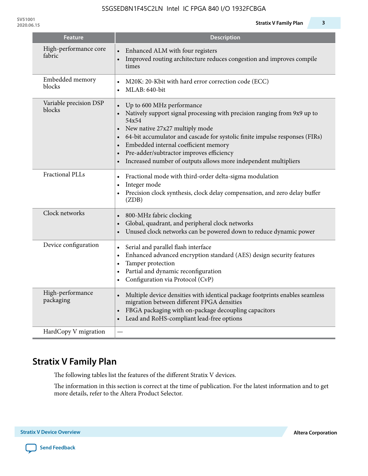| <b>Feature</b>                   | <b>Description</b>                                                                                                                                                                                                                                                                                                                                                                                                                                                   |
|----------------------------------|----------------------------------------------------------------------------------------------------------------------------------------------------------------------------------------------------------------------------------------------------------------------------------------------------------------------------------------------------------------------------------------------------------------------------------------------------------------------|
| High-performance core<br>fabric  | Enhanced ALM with four registers<br>Improved routing architecture reduces congestion and improves compile<br>times                                                                                                                                                                                                                                                                                                                                                   |
| Embedded memory<br>blocks        | M20K: 20-Kbit with hard error correction code (ECC)<br>MLAB: 640-bit<br>$\bullet$                                                                                                                                                                                                                                                                                                                                                                                    |
| Variable precision DSP<br>blocks | Up to 600 MHz performance<br>$\bullet$<br>Natively support signal processing with precision ranging from 9x9 up to<br>$\bullet$<br>54x54<br>New native 27x27 multiply mode<br>$\bullet$<br>64-bit accumulator and cascade for systolic finite impulse responses (FIRs)<br>$\bullet$<br>Embedded internal coefficient memory<br>$\bullet$<br>Pre-adder/subtractor improves efficiency<br>$\bullet$<br>Increased number of outputs allows more independent multipliers |
| <b>Fractional PLLs</b>           | Fractional mode with third-order delta-sigma modulation<br>$\bullet$<br>Integer mode<br>$\bullet$<br>Precision clock synthesis, clock delay compensation, and zero delay buffer<br>(ZDB)                                                                                                                                                                                                                                                                             |
| Clock networks                   | 800-MHz fabric clocking<br>$\bullet$<br>Global, quadrant, and peripheral clock networks<br>$\bullet$<br>Unused clock networks can be powered down to reduce dynamic power<br>$\bullet$                                                                                                                                                                                                                                                                               |
| Device configuration             | Serial and parallel flash interface<br>$\bullet$<br>Enhanced advanced encryption standard (AES) design security features<br>$\bullet$<br>Tamper protection<br>$\bullet$<br>Partial and dynamic reconfiguration<br>$\bullet$<br>Configuration via Protocol (CvP)                                                                                                                                                                                                      |
| High-performance<br>packaging    | Multiple device densities with identical package footprints enables seamless<br>$\bullet$<br>migration between different FPGA densities<br>FBGA packaging with on-package decoupling capacitors<br>$\bullet$<br>Lead and RoHS-compliant lead-free options<br>$\bullet$                                                                                                                                                                                               |
| HardCopy V migration             |                                                                                                                                                                                                                                                                                                                                                                                                                                                                      |

# **Stratix V Family Plan**

The following tables list the features of the different Stratix V devices.

The information in this section is correct at the time of publication. For the latest information and to get more details, refer to the Altera Product Selector.

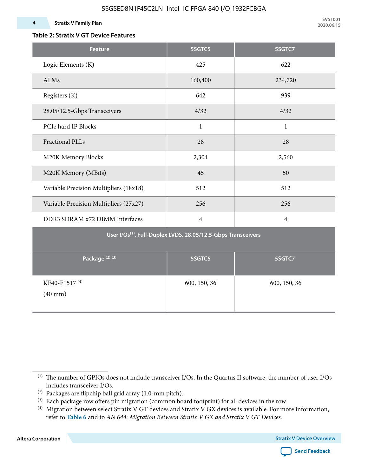### **Table 2: Stratix V GT Device Features**

| <b>Feature</b>                                                            | 5SGTC5         | 5SGTC7         |  |  |  |  |  |  |  |
|---------------------------------------------------------------------------|----------------|----------------|--|--|--|--|--|--|--|
| Logic Elements (K)                                                        | 425            | 622            |  |  |  |  |  |  |  |
| ALMs                                                                      | 160,400        | 234,720        |  |  |  |  |  |  |  |
| Registers (K)                                                             | 642            | 939            |  |  |  |  |  |  |  |
| 28.05/12.5-Gbps Transceivers                                              | 4/32           | 4/32           |  |  |  |  |  |  |  |
| PCIe hard IP Blocks                                                       | $\mathbf{1}$   | $\mathbf{1}$   |  |  |  |  |  |  |  |
| <b>Fractional PLLs</b>                                                    | 28             | 28             |  |  |  |  |  |  |  |
| M20K Memory Blocks                                                        | 2,304          | 2,560          |  |  |  |  |  |  |  |
| M20K Memory (MBits)                                                       | 45             | 50             |  |  |  |  |  |  |  |
| Variable Precision Multipliers (18x18)                                    | 512            | 512            |  |  |  |  |  |  |  |
| Variable Precision Multipliers (27x27)                                    | 256            | 256            |  |  |  |  |  |  |  |
| DDR3 SDRAM x72 DIMM Interfaces                                            | $\overline{4}$ | $\overline{4}$ |  |  |  |  |  |  |  |
| User I/Os <sup>(1)</sup> , Full-Duplex LVDS, 28.05/12.5-Gbps Transceivers |                |                |  |  |  |  |  |  |  |
| Package <sup>(2)(3)</sup>                                                 | 5SGTC5         | 5SGTC7         |  |  |  |  |  |  |  |
| KF40-F1517 <sup>(4)</sup><br>$(40$ mm $)$                                 | 600, 150, 36   | 600, 150, 36   |  |  |  |  |  |  |  |



<sup>(1)</sup> The number of GPIOs does not include transceiver I/Os. In the Quartus II software, the number of user I/Os includes transceiver I/Os.

 $^{(2)}$  Packages are flipchip ball grid array (1.0-mm pitch).

<sup>(3)</sup> Each package row offers pin migration (common board footprint) for all devices in the row.

<sup>(4)</sup> Migration between select Stratix V GT devices and Stratix V GX devices is available. For more information, refer to **Table 6** and to *AN 644: Migration Between Stratix V GX and Stratix V GT Devices*.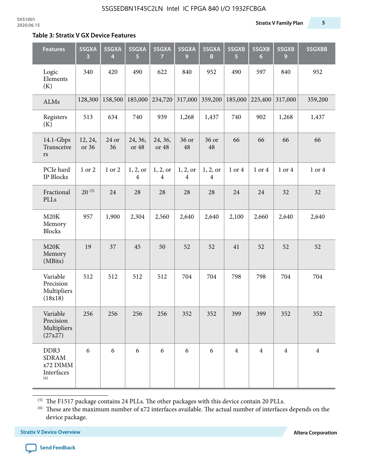#### **Table 3: Stratix V GX Device Features**

| <b>Features</b>                                       | 5SGXA<br>3       | 5SGXA<br>4  | 5SGXA<br>5.      | 5SGXA<br>7                 | 5SGXA<br>9                          | 5SGXA<br>B                          | 5SGXB<br>$\overline{5}$ | 5SGXB<br>$6\phantom{1}6$ | 5SGXB<br>9     | 5SGXBB         |
|-------------------------------------------------------|------------------|-------------|------------------|----------------------------|-------------------------------------|-------------------------------------|-------------------------|--------------------------|----------------|----------------|
| Logic<br>Elements<br>(K)                              | 340              | 420         | 490              | 622                        | 840                                 | 952                                 | 490                     | 597                      | 840            | 952            |
| ALMs                                                  | 128,300          | 158,500     | 185,000          | 234,720                    | 317,000                             | 359,200                             | 185,000                 | 225,400                  | 317,000        | 359,200        |
| Registers<br>(K)                                      | 513              | 634         | 740              | 939                        | 1,268                               | 1,437                               | 740                     | 902                      | 1,268          | 1,437          |
| 14.1-Gbps<br>Transceive<br>$\mathbf{r}\mathbf{s}$     | 12, 24,<br>or 36 | 24 or<br>36 | 24, 36,<br>or 48 | 24, 36,<br>or 48           | 36 or<br>48                         | 36 or<br>48                         | 66                      | 66                       | 66             | 66             |
| PCIe hard<br>IP Blocks                                | 1 or 2           | 1 or 2      | 1, 2, or<br>4    | 1, 2, or<br>$\overline{4}$ | 1, 2, or<br>$\overline{\mathbf{4}}$ | 1, 2, or<br>$\overline{\mathbf{4}}$ | 1 or 4                  | 1 or 4                   | 1 or 4         | 1 or 4         |
| Fractional<br>PLLs                                    | $20^{(5)}$       | 24          | 28               | 28                         | 28                                  | 28                                  | 24                      | 24                       | 32             | 32             |
| M20K<br>Memory<br><b>Blocks</b>                       | 957              | 1,900       | 2,304            | 2,560                      | 2,640                               | 2,640                               | 2,100                   | 2,660                    | 2,640          | 2,640          |
| M20K<br>Memory<br>(MBits)                             | 19               | 37          | 45               | 50                         | 52                                  | 52                                  | 41                      | 52                       | 52             | 52             |
| Variable<br>Precision<br>Multipliers<br>(18x18)       | 512              | 512         | 512              | 512                        | 704                                 | 704                                 | 798                     | 798                      | 704            | 704            |
| Variable<br>Precision<br>Multipliers<br>(27x27)       | 256              | 256         | 256              | 256                        | 352                                 | 352                                 | 399                     | 399                      | 352            | 352            |
| DDR3<br><b>SDRAM</b><br>x72 DIMM<br>Interfaces<br>(6) | 6                | 6           | 6                | 6                          | 6                                   | 6                                   | $\overline{4}$          | $\overline{4}$           | $\overline{4}$ | $\overline{4}$ |

 $^{\left(5\right)}$  The F1517 package contains 24 PLLs. The other packages with this device contain 20 PLLs.

(6) These are the maximum number of x72 interfaces available. The actual number of interfaces depends on the device package.

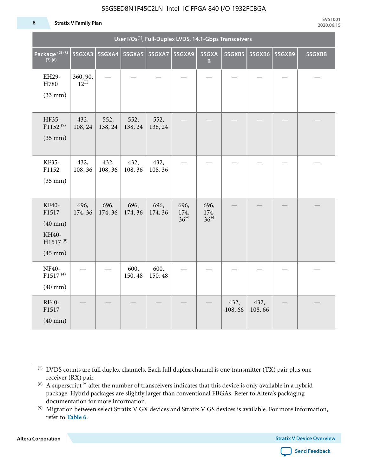#### **6 Stratix V Family Plan**

| User I/Os <sup>(1)</sup> , Full-Duplex LVDS, 14.1-Gbps Transceivers      |                             |                 |                 |                 |                                 |                                 |                |                |        |        |
|--------------------------------------------------------------------------|-----------------------------|-----------------|-----------------|-----------------|---------------------------------|---------------------------------|----------------|----------------|--------|--------|
| Package <sup>(2)(3)</sup><br>(7)(8)                                      | 5SGXA3                      | <b>5SGXA4</b>   | <b>5SGXA5</b>   | 5SGXA7          | 5SGXA9                          | 5SGXA<br>$\mathbf B$            | 5SGXB5         | 5SGXB6         | 5SGXB9 | 5SGXBB |
| EH29-<br>H780<br>$(33$ mm $)$                                            | 360, 90,<br>$12^{\text{H}}$ |                 |                 |                 |                                 |                                 |                |                |        |        |
| HF35-<br>F1152 <sup>(9)</sup><br>$(35$ mm $)$                            | 432,<br>108, 24             | 552,<br>138, 24 | 552,<br>138, 24 | 552,<br>138, 24 |                                 |                                 |                |                |        |        |
| KF35-<br>F1152<br>$(35$ mm $)$                                           | 432,<br>108, 36             | 432,<br>108, 36 | 432,<br>108, 36 | 432,<br>108, 36 |                                 |                                 |                |                |        |        |
| KF40-<br>F1517<br>$(40$ mm $)$<br>KH40-<br>$H1517^{(9)}$<br>$(45$ mm $)$ | 696,<br>174, 36             | 696,<br>174, 36 | 696,<br>174, 36 | 696,<br>174, 36 | 696,<br>174,<br>36 <sup>H</sup> | 696,<br>174,<br>36 <sup>H</sup> |                |                |        |        |
| NF40-<br>F1517 <sup>(4)</sup><br>$(40 \text{ mm})$                       |                             |                 | 600,<br>150, 48 | 600,<br>150, 48 |                                 |                                 |                |                |        |        |
| RF40-<br>F1517<br>$(40 \text{ mm})$                                      |                             |                 |                 |                 |                                 |                                 | 432,<br>108,66 | 432,<br>108,66 |        |        |

**Altera Corporation** 



<sup>(7)</sup> LVDS counts are full duplex channels. Each full duplex channel is one transmitter (TX) pair plus one receiver (RX) pair.

<sup>(8)</sup> A superscript  $H$  after the number of transceivers indicates that this device is only available in a hybrid package. Hybrid packages are slightly larger than conventional FBGAs. Refer to Altera's packaging documentation for more information.

<sup>(9)</sup> Migration between select Stratix V GX devices and Stratix V GS devices is available. For more information, refer to **Table 6**.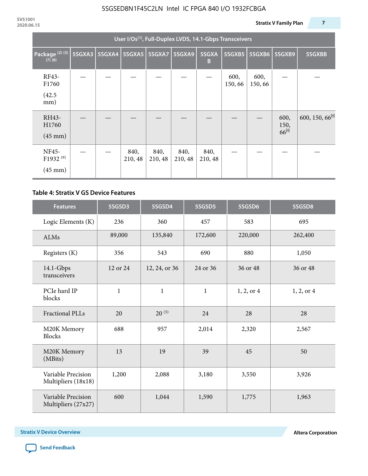| User I/Os <sup>(1)</sup> , Full-Duplex LVDS, 14.1-Gbps Transceivers |        |  |                          |                 |                 |                 |                |                |                                 |                           |
|---------------------------------------------------------------------|--------|--|--------------------------|-----------------|-----------------|-----------------|----------------|----------------|---------------------------------|---------------------------|
| Package <sup>(2)(3)</sup><br>$(7)$ $(8)$                            | 5SGXA3 |  | 5SGXA4   5SGXA5   5SGXA7 |                 | 5SGXA9          | 5SGXA<br>B      | 5SGXB5         | 5SGXB6         | 5SGXB9                          | 5SGXBB                    |
| RF43-<br>F1760<br>(42.5)<br>mm)                                     |        |  |                          |                 |                 |                 | 600,<br>150,66 | 600,<br>150,66 |                                 |                           |
| RH43-<br>H1760<br>$(45 \text{ mm})$                                 |        |  |                          |                 |                 |                 |                |                | 600,<br>150,<br>66 <sup>H</sup> | 600, 150, 66 <sup>H</sup> |
| NF45-<br>F1932 <sup>(9)</sup><br>$(45 \text{ mm})$                  |        |  | 840,<br>210, 48          | 840,<br>210, 48 | 840,<br>210, 48 | 840,<br>210, 48 |                |                |                                 |                           |

### **Table 4: Stratix V GS Device Features**

| <b>Features</b>                           | 5SGSD3       | 5SGSD4        | 5SGSD5       | 5SGSD6     | 5SGSD8     |
|-------------------------------------------|--------------|---------------|--------------|------------|------------|
| Logic Elements (K)                        | 236          | 360           | 457          | 583        | 695        |
| <b>ALMs</b>                               | 89,000       | 135,840       | 172,600      | 220,000    | 262,400    |
| Registers (K)                             | 356          | 543           | 690          | 880        | 1,050      |
| $14.1$ -Gbps<br>transceivers              | 12 or 24     | 12, 24, or 36 | 24 or 36     | 36 or 48   | 36 or 48   |
| PCIe hard IP<br>blocks                    | $\mathbf{1}$ | $\mathbf{1}$  | $\mathbf{1}$ | 1, 2, or 4 | 1, 2, or 4 |
| <b>Fractional PLLs</b>                    | 20           | $20^{(5)}$    | 24           | 28         | 28         |
| M20K Memory<br><b>Blocks</b>              | 688          | 957           | 2,014        | 2,320      | 2,567      |
| M20K Memory<br>(MBits)                    | 13           | 19            | 39           | 45         | 50         |
| Variable Precision<br>Multipliers (18x18) | 1,200        | 2,088         | 3,180        | 3,550      | 3,926      |
| Variable Precision<br>Multipliers (27x27) | 600          | 1,044         | 1,590        | 1,775      | 1,963      |

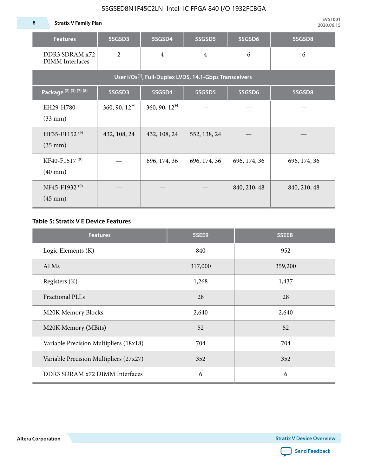**8 Stratix V Family Plan**

| <b>Features</b>                                                     | 5SGSD3                   | 5SGSD4          | 5SGSD5         | 5SGSD6       | 5SGSD8       |  |  |  |  |  |  |
|---------------------------------------------------------------------|--------------------------|-----------------|----------------|--------------|--------------|--|--|--|--|--|--|
| DDR3 SDRAM x72<br><b>DIMM</b> Interfaces                            | $\overline{2}$           | $\overline{4}$  | $\overline{4}$ | 6            | 6            |  |  |  |  |  |  |
| User I/Os <sup>(1)</sup> , Full-Duplex LVDS, 14.1-Gbps Transceivers |                          |                 |                |              |              |  |  |  |  |  |  |
| Package (2) (3) (7) (8)                                             | 5SGSD3                   | 5SGSD4          | 5SGSD5         | 5SGSD6       | 5SGSD8       |  |  |  |  |  |  |
| EH29-H780<br>$(33$ mm $)$                                           | $360, 90, 12^{\text{H}}$ | 360, 90, $12^H$ |                |              |              |  |  |  |  |  |  |
| HF35-F1152 <sup>(9)</sup><br>$(35 \text{ mm})$                      | 432, 108, 24             | 432, 108, 24    | 552, 138, 24   |              |              |  |  |  |  |  |  |
| KF40-F1517 <sup>(9)</sup><br>$(40 \text{ mm})$                      |                          | 696, 174, 36    | 696, 174, 36   | 696, 174, 36 | 696, 174, 36 |  |  |  |  |  |  |
| NF45-F1932 <sup>(9)</sup><br>$(45 \text{ mm})$                      |                          |                 |                | 840, 210, 48 | 840, 210, 48 |  |  |  |  |  |  |

### **Table 5: Stratix V E Device Features**

| <b>Features</b>                        | 5SEE9   | 5SEEB   |
|----------------------------------------|---------|---------|
| Logic Elements (K)                     | 840     | 952     |
| <b>ALMs</b>                            | 317,000 | 359,200 |
| Registers (K)                          | 1,268   | 1,437   |
| <b>Fractional PLLs</b>                 | 28      | 28      |
| M20K Memory Blocks                     | 2,640   | 2,640   |
| M20K Memory (MBits)                    | 52      | 52      |
| Variable Precision Multipliers (18x18) | 704     | 704     |
| Variable Precision Multipliers (27x27) | 352     | 352     |
| DDR3 SDRAM x72 DIMM Interfaces         | 6       | 6       |

**Altera Corporation** 

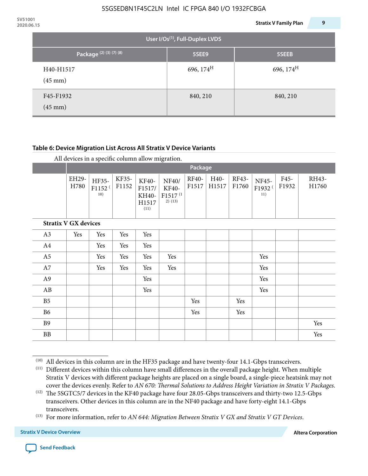| 2020.06.15 |                                                                     |                                             | 9<br><b>Stratix V Family Plan</b> |
|------------|---------------------------------------------------------------------|---------------------------------------------|-----------------------------------|
|            |                                                                     | User I/Os <sup>(1)</sup> , Full-Duplex LVDS |                                   |
|            | Package <sup>(2)</sup> <sup>(3)</sup> <sup>(7)</sup> <sup>(8)</sup> | 5SEE9                                       | 5SEEB                             |
|            | H40-H1517<br>$(45 \text{ mm})$                                      | 696, 174 <sup>H</sup>                       | 696, 174 <sup>H</sup>             |
|            | F45-F1932<br>$(45 \text{ mm})$                                      | 840, 210                                    | 840, 210                          |

### **Table 6: Device Migration List Across All Stratix V Device Variants**

|                             |               | Package                            |                |                                           |                                                           |                |               |                |                                    |               |                |
|-----------------------------|---------------|------------------------------------|----------------|-------------------------------------------|-----------------------------------------------------------|----------------|---------------|----------------|------------------------------------|---------------|----------------|
|                             | EH29-<br>H780 | HF35-<br>F1152 <sup>(</sup><br>10) | KF35-<br>F1152 | KF40-<br>F1517/<br>KH40-<br>H1517<br>(11) | NF40/<br><b>KF40-</b><br>F1517 <sup>(1</sup><br>$2)$ (13) | RF40-<br>F1517 | H40-<br>H1517 | RF43-<br>F1760 | NF45-<br>F1932 <sup>(</sup><br>11) | F45-<br>F1932 | RH43-<br>H1760 |
| <b>Stratix V GX devices</b> |               |                                    |                |                                           |                                                           |                |               |                |                                    |               |                |
| A3                          | Yes           | Yes                                | Yes            | Yes                                       |                                                           |                |               |                |                                    |               |                |
| A4                          |               | Yes                                | Yes            | Yes                                       |                                                           |                |               |                |                                    |               |                |
| A <sub>5</sub>              |               | Yes                                | Yes            | Yes                                       | Yes                                                       |                |               |                | Yes                                |               |                |
| A7                          |               | Yes                                | Yes            | Yes                                       | Yes                                                       |                |               |                | Yes                                |               |                |
| A <sub>9</sub>              |               |                                    |                | Yes                                       |                                                           |                |               |                | Yes                                |               |                |
| AB                          |               |                                    |                | Yes                                       |                                                           |                |               |                | Yes                                |               |                |
| B <sub>5</sub>              |               |                                    |                |                                           |                                                           | Yes            |               | Yes            |                                    |               |                |
| B <sub>6</sub>              |               |                                    |                |                                           |                                                           | Yes            |               | Yes            |                                    |               |                |
| <b>B9</b>                   |               |                                    |                |                                           |                                                           |                |               |                |                                    |               | Yes            |
| <b>BB</b>                   |               |                                    |                |                                           |                                                           |                |               |                |                                    |               | Yes            |

 $(10)$  All devices in this column are in the HF35 package and have twenty-four 14.1-Gbps transceivers.



<sup>(11)</sup> Different devices within this column have small differences in the overall package height. When multiple Stratix V devices with different package heights are placed on a single board, a single-piece heatsink may not cover the devices evenly. Refer to *AN 670: Thermal Solutions to Address Height Variation in Stratix V Packages*.

<sup>(12)</sup> The 5SGTC5/7 devices in the KF40 package have four 28.05-Gbps transceivers and thirty-two 12.5-Gbps transceivers. Other devices in this column are in the NF40 package and have forty-eight 14.1-Gbps transceivers.

<sup>(13)</sup> For more information, refer to *AN 644: Migration Between Stratix V GX and Stratix V GT Devices*.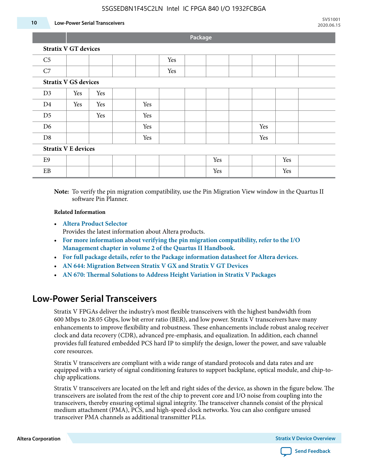#### **10 Low-Power Serial Transceivers**

**Package**

|                             |     |     |                                                                                                                                                                                                                                                   |     |  | $\sim$ |  |     |     |  |
|-----------------------------|-----|-----|---------------------------------------------------------------------------------------------------------------------------------------------------------------------------------------------------------------------------------------------------|-----|--|--------|--|-----|-----|--|
| <b>Stratix V GT devices</b> |     |     |                                                                                                                                                                                                                                                   |     |  |        |  |     |     |  |
| C <sub>5</sub>              |     |     |                                                                                                                                                                                                                                                   | Yes |  |        |  |     |     |  |
| $\operatorname{C7}$         |     |     |                                                                                                                                                                                                                                                   | Yes |  |        |  |     |     |  |
| <b>Stratix V GS devices</b> |     |     |                                                                                                                                                                                                                                                   |     |  |        |  |     |     |  |
| D <sub>3</sub>              | Yes | Yes |                                                                                                                                                                                                                                                   |     |  |        |  |     |     |  |
| D <sub>4</sub>              | Yes | Yes | Yes                                                                                                                                                                                                                                               |     |  |        |  |     |     |  |
| D <sub>5</sub>              |     | Yes | Yes                                                                                                                                                                                                                                               |     |  |        |  |     |     |  |
| D <sub>6</sub>              |     |     | Yes                                                                                                                                                                                                                                               |     |  |        |  | Yes |     |  |
| D <sub>8</sub>              |     |     | Yes                                                                                                                                                                                                                                               |     |  |        |  | Yes |     |  |
| <b>Stratix V E devices</b>  |     |     |                                                                                                                                                                                                                                                   |     |  |        |  |     |     |  |
| E9                          |     |     |                                                                                                                                                                                                                                                   |     |  | Yes    |  |     | Yes |  |
| ${\rm EB}$                  |     |     |                                                                                                                                                                                                                                                   |     |  | Yes    |  |     | Yes |  |
|                             |     |     | $\mathbf{M}$ , and $\mathbf{M}$ , $\mathbf{M}$ , $\mathbf{M}$ , $\mathbf{M}$ , $\mathbf{M}$ , $\mathbf{M}$ , $\mathbf{M}$ , $\mathbf{M}$ , $\mathbf{M}$ , $\mathbf{M}$ , $\mathbf{M}$ , $\mathbf{M}$ , $\mathbf{M}$ , $\mathbf{M}$ , $\mathbf{M}$ |     |  |        |  |     |     |  |

**Note:** To verify the pin migration compatibility, use the Pin Migration View window in the Quartus II software Pin Planner.

#### **Related Information**

• **[Altera Product Selector](http://www.altera.com/products/selector/psg-selector.html#)**

Provides the latest information about Altera products.

- **[For more information about verifying the pin migration compatibility, refer to the I/O](http://www.altera.com/literature/hb/qts/qts_qii52013.pdf) [Management chapter in volume 2 of the Quartus II Handbook.](http://www.altera.com/literature/hb/qts/qts_qii52013.pdf)**
- **[For full package details, refer to the Package information datasheet for Altera devices.](http://www.altera.com/support/devices/packaging/specifications/pkg-pin/spe-index.jsp)**
- **[AN 644: Migration Between Stratix V GX and Stratix V GT Devices](http://www.altera.com/literature/an/an644.pdf)**
- **[AN 670: Thermal Solutions to Address Height Variation in Stratix V Packages](http://www.altera.com/literature/an/an670.pdf)**

### **Low-Power Serial Transceivers**

Stratix V FPGAs deliver the industry's most flexible transceivers with the highest bandwidth from 600 Mbps to 28.05 Gbps, low bit error ratio (BER), and low power. Stratix V transceivers have many enhancements to improve flexibility and robustness. These enhancements include robust analog receiver clock and data recovery (CDR), advanced pre-emphasis, and equalization. In addition, each channel provides full featured embedded PCS hard IP to simplify the design, lower the power, and save valuable core resources.

Stratix V transceivers are compliant with a wide range of standard protocols and data rates and are equipped with a variety of signal conditioning features to support backplane, optical module, and chip-tochip applications.

Stratix V transceivers are located on the left and right sides of the device, as shown in the figure below. The transceivers are isolated from the rest of the chip to prevent core and I/O noise from coupling into the transceivers, thereby ensuring optimal signal integrity. The transceiver channels consist of the physical medium attachment (PMA), PCS, and high-speed clock networks. You can also configure unused transceiver PMA channels as additional transmitter PLLs.

**Altera Corporation Stratix V Device Overview**

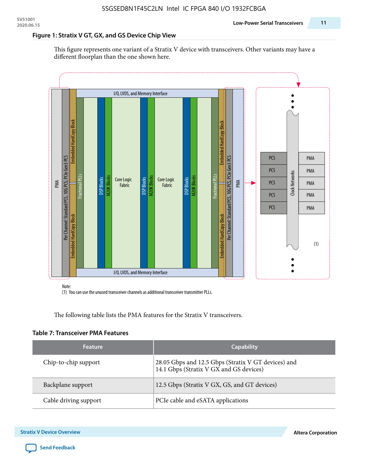#### **Figure 1: Stratix V GT, GX, and GS Device Chip View**

This figure represents one variant of a Stratix V device with transceivers. Other variants may have a different floorplan than the one shown here.



(1) You can use the unused transceiver channels as additional transceiver transmitter PLLs.

The following table lists the PMA features for the Stratix V transceivers.

#### **Table 7: Transceiver PMA Features**

| <b>Feature</b>        | <b>Capability</b>                                                                              |
|-----------------------|------------------------------------------------------------------------------------------------|
| Chip-to-chip support  | 28.05 Gbps and 12.5 Gbps (Stratix V GT devices) and<br>14.1 Gbps (Stratix V GX and GS devices) |
| Backplane support     | 12.5 Gbps (Stratix V GX, GS, and GT devices)                                                   |
| Cable driving support | PCIe cable and eSATA applications                                                              |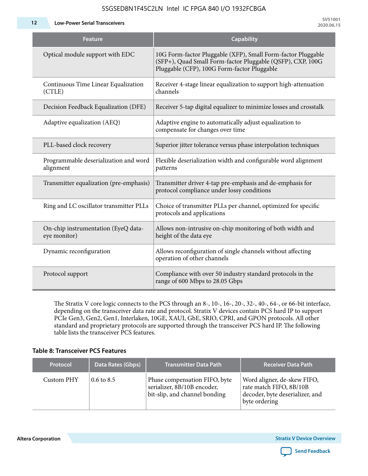**12 Low-Power Serial Transceivers**

| <b>Feature</b>                                      | <b>Capability</b>                                                                                                                                                         |
|-----------------------------------------------------|---------------------------------------------------------------------------------------------------------------------------------------------------------------------------|
| Optical module support with EDC                     | 10G Form-factor Pluggable (XFP), Small Form-factor Pluggable<br>(SFP+), Quad Small Form-factor Pluggable (QSFP), CXP, 100G<br>Pluggable (CFP), 100G Form-factor Pluggable |
| Continuous Time Linear Equalization<br>(CTLE)       | Receiver 4-stage linear equalization to support high-attenuation<br>channels                                                                                              |
| Decision Feedback Equalization (DFE)                | Receiver 5-tap digital equalizer to minimize losses and crosstalk                                                                                                         |
| Adaptive equalization (AEQ)                         | Adaptive engine to automatically adjust equalization to<br>compensate for changes over time                                                                               |
| PLL-based clock recovery                            | Superior jitter tolerance versus phase interpolation techniques                                                                                                           |
| Programmable deserialization and word<br>alignment  | Flexible deserialization width and configurable word alignment<br>patterns                                                                                                |
| Transmitter equalization (pre-emphasis)             | Transmitter driver 4-tap pre-emphasis and de-emphasis for<br>protocol compliance under lossy conditions                                                                   |
| Ring and LC oscillator transmitter PLLs             | Choice of transmitter PLLs per channel, optimized for specific<br>protocols and applications                                                                              |
| On-chip instrumentation (EyeQ data-<br>eye monitor) | Allows non-intrusive on-chip monitoring of both width and<br>height of the data eye                                                                                       |
| Dynamic reconfiguration                             | Allows reconfiguration of single channels without affecting<br>operation of other channels                                                                                |
| Protocol support                                    | Compliance with over 50 industry standard protocols in the<br>range of 600 Mbps to 28.05 Gbps                                                                             |

The Stratix V core logic connects to the PCS through an 8-, 10-, 16-, 20-, 32-, 40-, 64-, or 66-bit interface, depending on the transceiver data rate and protocol. Stratix V devices contain PCS hard IP to support PCIe Gen3, Gen2, Gen1, Interlaken, 10GE, XAUI, GbE, SRIO, CPRI, and GPON protocols. All other standard and proprietary protocols are supported through the transceiver PCS hard IP. The following table lists the transceiver PCS features.

#### **Table 8: Transceiver PCS Features**

| <b>Protocol</b> | Data Rates (Gbps)     | <b>Transmitter Data Path</b>                                                                  | <b>Receiver Data Path</b>                                                                                  |
|-----------------|-----------------------|-----------------------------------------------------------------------------------------------|------------------------------------------------------------------------------------------------------------|
| Custom PHY      | $0.6 \text{ to } 8.5$ | Phase compensation FIFO, byte<br>serializer, 8B/10B encoder,<br>bit-slip, and channel bonding | Word aligner, de-skew FIFO,<br>rate match FIFO, 8B/10B<br>decoder, byte deserializer, and<br>byte ordering |

**Altera Corporation** 

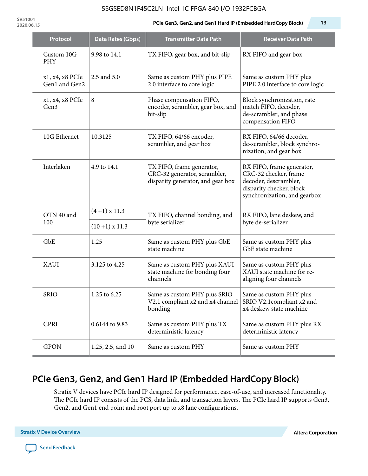**SV51001**

#### **2020.06.15 PCIe Gen3, Gen2, and Gen1 Hard IP (Embedded HardCopy Block) 13**

| Protocol                         | Data Rates (Gbps) | <b>Transmitter Data Path</b>                                                                   | <b>Receiver Data Path</b>                                                                                                               |  |
|----------------------------------|-------------------|------------------------------------------------------------------------------------------------|-----------------------------------------------------------------------------------------------------------------------------------------|--|
| Custom 10G<br><b>PHY</b>         | 9.98 to 14.1      | TX FIFO, gear box, and bit-slip                                                                | RX FIFO and gear box                                                                                                                    |  |
| x1, x4, x8 PCIe<br>Gen1 and Gen2 | 2.5 and 5.0       | Same as custom PHY plus PIPE<br>2.0 interface to core logic                                    | Same as custom PHY plus<br>PIPE 2.0 interface to core logic                                                                             |  |
| x1, x4, x8 PCIe<br>Gen3          | 8                 | Phase compensation FIFO,<br>encoder, scrambler, gear box, and<br>bit-slip                      | Block synchronization, rate<br>match FIFO, decoder,<br>de-scrambler, and phase<br>compensation FIFO                                     |  |
| 10G Ethernet                     | 10.3125           | TX FIFO, 64/66 encoder,<br>scrambler, and gear box                                             | RX FIFO, 64/66 decoder,<br>de-scrambler, block synchro-<br>nization, and gear box                                                       |  |
| Interlaken                       | 4.9 to 14.1       | TX FIFO, frame generator,<br>CRC-32 generator, scrambler,<br>disparity generator, and gear box | RX FIFO, frame generator,<br>CRC-32 checker, frame<br>decoder, descrambler,<br>disparity checker, block<br>synchronization, and gearbox |  |
| OTN 40 and<br>100                | $(4+1)$ x 11.3    | TX FIFO, channel bonding, and                                                                  | RX FIFO, lane deskew, and                                                                                                               |  |
|                                  | $(10+1)$ x 11.3   | byte serializer                                                                                | byte de-serializer                                                                                                                      |  |
| GbE                              | 1.25              | Same as custom PHY plus GbE<br>state machine                                                   | Same as custom PHY plus<br>GbE state machine                                                                                            |  |
| <b>XAUI</b>                      | 3.125 to 4.25     | Same as custom PHY plus XAUI<br>state machine for bonding four<br>channels                     | Same as custom PHY plus<br>XAUI state machine for re-<br>aligning four channels                                                         |  |
| <b>SRIO</b>                      | 1.25 to 6.25      | Same as custom PHY plus SRIO<br>V2.1 compliant x2 and x4 channel<br>bonding                    | Same as custom PHY plus<br>SRIO V2.1compliant x2 and<br>x4 deskew state machine                                                         |  |
| <b>CPRI</b>                      | 0.6144 to 9.83    | Same as custom PHY plus TX<br>deterministic latency                                            | Same as custom PHY plus RX<br>deterministic latency                                                                                     |  |
| <b>GPON</b>                      | 1.25, 2.5, and 10 | Same as custom PHY                                                                             | Same as custom PHY                                                                                                                      |  |

# **PCIe Gen3, Gen2, and Gen1 Hard IP (Embedded HardCopy Block)**

Stratix V devices have PCIe hard IP designed for performance, ease-of-use, and increased functionality. The PCIe hard IP consists of the PCS, data link, and transaction layers. The PCIe hard IP supports Gen3, Gen2, and Gen1 end point and root port up to x8 lane configurations.

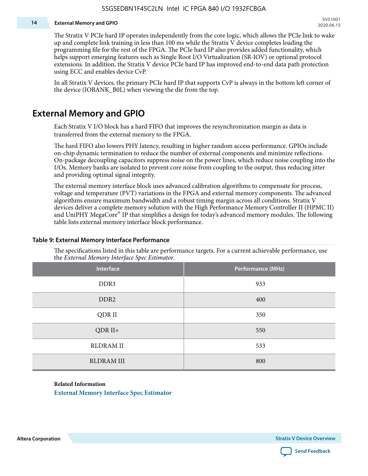#### **14 External Memory and GPIO**

The Stratix V PCIe hard IP operates independently from the core logic, which allows the PCIe link to wake up and complete link training in less than 100 ms while the Stratix V device completes loading the programming file for the rest of the FPGA. The PCIe hard IP also provides added functionality, which helps support emerging features such as Single Root I/O Virtualization (SR-IOV) or optional protocol extensions. In addition, the Stratix V device PCIe hard IP has improved end-to-end data path protection using ECC and enables device CvP.

In all Stratix V devices, the primary PCIe hard IP that supports CvP is always in the bottom left corner of the device (IOBANK\_B0L) when viewing the die from the top.

### **External Memory and GPIO**

Each Stratix V I/O block has a hard FIFO that improves the resynchronization margin as data is transferred from the external memory to the FPGA.

The hard FIFO also lowers PHY latency, resulting in higher random access performance. GPIOs include on-chip dynamic termination to reduce the number of external components and minimize reflections. On-package decoupling capacitors suppress noise on the power lines, which reduce noise coupling into the I/Os. Memory banks are isolated to prevent core noise from coupling to the output, thus reducing jitter and providing optimal signal integrity.

The external memory interface block uses advanced calibration algorithms to compensate for process, voltage and temperature (PVT) variations in the FPGA and external memory components. The advanced algorithms ensure maximum bandwidth and a robust timing margin across all conditions. Stratix V devices deliver a complete memory solution with the High Performance Memory Controller II (HPMC II) and UniPHY MegaCore® IP that simplifies a design for today's advanced memory modules. The following table lists external memory interface block performance.

| Interface         | Performance (MHz) |
|-------------------|-------------------|
| DDR3              | 933               |
| DDR <sub>2</sub>  | 400               |
| QDR II            | 350               |
| $QDR II+$         | 550               |
| <b>RLDRAM II</b>  | 533               |
| <b>RLDRAM III</b> | 800               |

#### **Table 9: External Memory Interface Performance**

The specifications listed in this table are performance targets. For a current achievable performance, use the *External Memory Interface Spec Estimator*.

#### **Related Information**

**[External Memory Interface Spec Estimator](http://www.altera.com/technology/memory/estimator/mem-emif-index.html)**

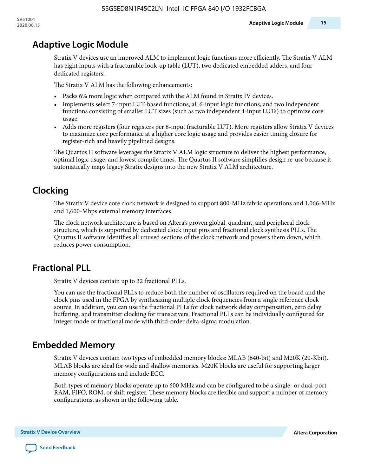## **Adaptive Logic Module**

Stratix V devices use an improved ALM to implement logic functions more efficiently. The Stratix V ALM has eight inputs with a fracturable look-up table (LUT), two dedicated embedded adders, and four dedicated registers.

The Stratix V ALM has the following enhancements:

- Packs 6% more logic when compared with the ALM found in Stratix IV devices.
- Implements select 7-input LUT-based functions, all 6-input logic functions, and two independent functions consisting of smaller LUT sizes (such as two independent 4-input LUTs) to optimize core usage.
- Adds more registers (four registers per 8-input fracturable LUT). More registers allow Stratix V devices to maximize core performance at a higher core logic usage and provides easier timing closure for register-rich and heavily pipelined designs.

The Quartus II software leverages the Stratix V ALM logic structure to deliver the highest performance, optimal logic usage, and lowest compile times. The Quartus II software simplifies design re-use because it automatically maps legacy Stratix designs into the new Stratix V ALM architecture.

# **Clocking**

The Stratix V device core clock network is designed to support 800-MHz fabric operations and 1,066-MHz and 1,600-Mbps external memory interfaces.

The clock network architecture is based on Altera's proven global, quadrant, and peripheral clock structure, which is supported by dedicated clock input pins and fractional clock synthesis PLLs. The Quartus II software identifies all unused sections of the clock network and powers them down, which reduces power consumption.

# **Fractional PLL**

Stratix V devices contain up to 32 fractional PLLs.

You can use the fractional PLLs to reduce both the number of oscillators required on the board and the clock pins used in the FPGA by synthesizing multiple clock frequencies from a single reference clock source. In addition, you can use the fractional PLLs for clock network delay compensation, zero delay buffering, and transmitter clocking for transceivers. Fractional PLLs can be individually configured for integer mode or fractional mode with third-order delta-sigma modulation.

### **Embedded Memory**

Stratix V devices contain two types of embedded memory blocks: MLAB (640-bit) and M20K (20-Kbit). MLAB blocks are ideal for wide and shallow memories. M20K blocks are useful for supporting larger memory configurations and include ECC.

Both types of memory blocks operate up to 600 MHz and can be configured to be a single- or dual-port RAM, FIFO, ROM, or shift register. These memory blocks are flexible and support a number of memory configurations, as shown in the following table.

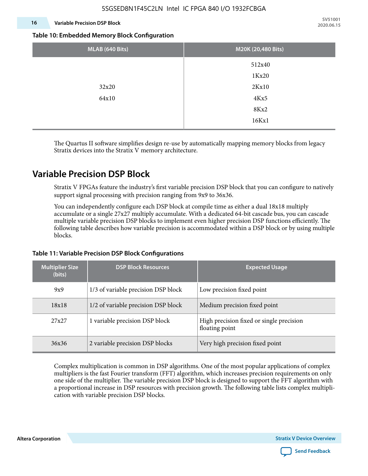#### **16 Variable Precision DSP Block**

**SV51001 2020.06.15**

#### **Table 10: Embedded Memory Block Configuration**

| MLAB (640 Bits) | M20K (20,480 Bits) |
|-----------------|--------------------|
|                 | 512x40             |
|                 | 1Kx20              |
| 32x20           | 2Kx10              |
| 64x10           | 4Kx5               |
|                 | 8Kx2               |
|                 | 16Kx1              |

The Quartus II software simplifies design re-use by automatically mapping memory blocks from legacy Stratix devices into the Stratix V memory architecture.

### **Variable Precision DSP Block**

Stratix V FPGAs feature the industry's first variable precision DSP block that you can configure to natively support signal processing with precision ranging from 9x9 to 36x36.

You can independently configure each DSP block at compile time as either a dual 18x18 multiply accumulate or a single 27x27 multiply accumulate. With a dedicated 64-bit cascade bus, you can cascade multiple variable precision DSP blocks to implement even higher precision DSP functions efficiently. The following table describes how variable precision is accommodated within a DSP block or by using multiple blocks.

| <b>Multiplier Size</b><br>(bits) | <b>DSP Block Resources</b>          | <b>Expected Usage</b>                                      |  |  |
|----------------------------------|-------------------------------------|------------------------------------------------------------|--|--|
| 9x9                              | 1/3 of variable precision DSP block | Low precision fixed point                                  |  |  |
| 18x18                            | 1/2 of variable precision DSP block | Medium precision fixed point                               |  |  |
| 27x27                            | 1 variable precision DSP block      | High precision fixed or single precision<br>floating point |  |  |
| 36x36                            | 2 variable precision DSP blocks     | Very high precision fixed point                            |  |  |

#### **Table 11: Variable Precision DSP Block Configurations**

Complex multiplication is common in DSP algorithms. One of the most popular applications of complex multipliers is the fast Fourier transform (FFT) algorithm, which increases precision requirements on only one side of the multiplier. The variable precision DSP block is designed to support the FFT algorithm with a proportional increase in DSP resources with precision growth. The following table lists complex multipli‐ cation with variable precision DSP blocks.

**Altera Corporation** 

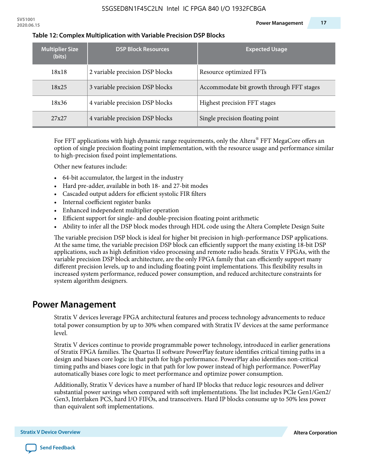| <b>Multiplier Size</b><br>(bits) | <b>DSP Block Resources</b>      | <b>Expected Usage</b>                     |
|----------------------------------|---------------------------------|-------------------------------------------|
| 18x18                            | 2 variable precision DSP blocks | Resource optimized FFTs                   |
| 18x25                            | 3 variable precision DSP blocks | Accommodate bit growth through FFT stages |
| 18x36                            | 4 variable precision DSP blocks | Highest precision FFT stages              |
| 27x27                            | 4 variable precision DSP blocks | Single precision floating point           |

#### **Table 12: Complex Multiplication with Variable Precision DSP Blocks**

For FFT applications with high dynamic range requirements, only the Altera $^\circ$  FFT MegaCore offers an option of single precision floating point implementation, with the resource usage and performance similar to high-precision fixed point implementations.

Other new features include:

- 64-bit accumulator, the largest in the industry
- Hard pre-adder, available in both 18- and 27-bit modes
- Cascaded output adders for efficient systolic FIR filters
- Internal coefficient register banks
- Enhanced independent multiplier operation
- Efficient support for single- and double-precision floating point arithmetic
- Ability to infer all the DSP block modes through HDL code using the Altera Complete Design Suite

The variable precision DSP block is ideal for higher bit precision in high-performance DSP applications. At the same time, the variable precision DSP block can efficiently support the many existing 18-bit DSP applications, such as high definition video processing and remote radio heads. Stratix V FPGAs, with the variable precision DSP block architecture, are the only FPGA family that can efficiently support many different precision levels, up to and including floating point implementations. This flexibility results in increased system performance, reduced power consumption, and reduced architecture constraints for system algorithm designers.

### **Power Management**

Stratix V devices leverage FPGA architectural features and process technology advancements to reduce total power consumption by up to 30% when compared with Stratix IV devices at the same performance level.

Stratix V devices continue to provide programmable power technology, introduced in earlier generations of Stratix FPGA families. The Quartus II software PowerPlay feature identifies critical timing paths in a design and biases core logic in that path for high performance. PowerPlay also identifies non-critical timing paths and biases core logic in that path for low power instead of high performance. PowerPlay automatically biases core logic to meet performance and optimize power consumption.

Additionally, Stratix V devices have a number of hard IP blocks that reduce logic resources and deliver substantial power savings when compared with soft implementations. The list includes PCIe Gen1/Gen2/ Gen3, Interlaken PCS, hard I/O FIFOs, and transceivers. Hard IP blocks consume up to 50% less power than equivalent soft implementations.

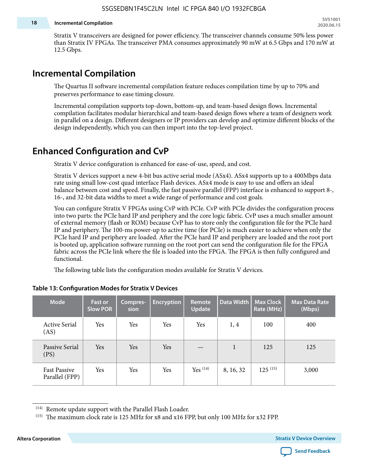#### **18 Incremental Compilation**

Stratix V transceivers are designed for power efficiency. The transceiver channels consume 50% less power than Stratix IV FPGAs. The transceiver PMA consumes approximately 90 mW at 6.5 Gbps and 170 mW at 12.5 Gbps.

### **Incremental Compilation**

The Quartus II software incremental compilation feature reduces compilation time by up to 70% and preserves performance to ease timing closure.

Incremental compilation supports top-down, bottom-up, and team-based design flows. Incremental compilation facilitates modular hierarchical and team-based design flows where a team of designers work in parallel on a design. Different designers or IP providers can develop and optimize different blocks of the design independently, which you can then import into the top-level project.

## **Enhanced Configuration and CvP**

Stratix V device configuration is enhanced for ease-of-use, speed, and cost.

Stratix V devices support a new 4-bit bus active serial mode (ASx4). ASx4 supports up to a 400Mbps data rate using small low-cost quad interface Flash devices. ASx4 mode is easy to use and offers an ideal balance between cost and speed. Finally, the fast passive parallel (FPP) interface is enhanced to support 8-, 16-, and 32-bit data widths to meet a wide range of performance and cost goals.

You can configure Stratix V FPGAs using CvP with PCIe. CvP with PCIe divides the configuration process into two parts: the PCIe hard IP and periphery and the core logic fabric. CvP uses a much smaller amount of external memory (flash or ROM) because CvP has to store only the configuration file for the PCIe hard IP and periphery. The 100-ms power-up to active time (for PCIe) is much easier to achieve when only the PCIe hard IP and periphery are loaded. After the PCIe hard IP and periphery are loaded and the root port is booted up, application software running on the root port can send the configuration file for the FPGA fabric across the PCIe link where the file is loaded into the FPGA. The FPGA is then fully configured and functional.

The following table lists the configuration modes available for Stratix V devices.

| <b>Mode</b>                           | <b>Fast or</b><br><b>Slow POR</b> | Compres-<br>sion | <b>Encryption</b> | Remote<br><b>Update</b> | Data Width | <b>Max Clock</b><br>Rate (MHz) | <b>Max Data Rate</b><br>(Mbps) |
|---------------------------------------|-----------------------------------|------------------|-------------------|-------------------------|------------|--------------------------------|--------------------------------|
| <b>Active Serial</b><br>(AS)          | Yes                               | Yes              | Yes               | Yes                     | 1, 4       | 100                            | 400                            |
| Passive Serial<br>(PS)                | Yes                               | Yes              | Yes               |                         | 1          | 125                            | 125                            |
| <b>Fast Passive</b><br>Parallel (FPP) | Yes                               | Yes              | Yes               | $Yes$ $(14)$            | 8, 16, 32  | $125^{(15)}$                   | 3,000                          |

#### **Table 13: Configuration Modes for Stratix V Devices**

**Altera Corporation Stratix V Device Overview**



<sup>(14)</sup> Remote update support with the Parallel Flash Loader.

<sup>&</sup>lt;sup>(15)</sup> The maximum clock rate is 125 MHz for x8 and x16 FPP, but only 100 MHz for x32 FPP.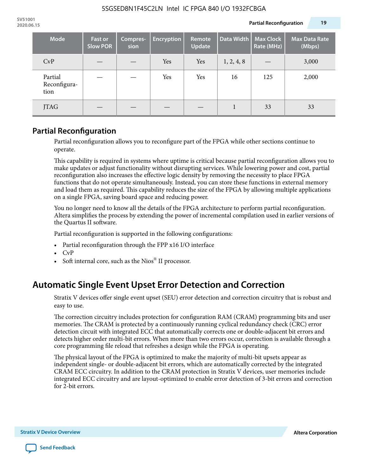| <b>Mode</b>                     | <b>Fast or</b><br><b>Slow POR</b> | Compres-<br>sion | <b>Encryption</b> | <b>Remote</b><br><b>Update</b> | Data Width | <b>Max Clock</b><br>Rate (MHz) | <b>Max Data Rate</b><br>(Mbps) |
|---------------------------------|-----------------------------------|------------------|-------------------|--------------------------------|------------|--------------------------------|--------------------------------|
| CvP                             |                                   |                  | Yes               | Yes                            | 1, 2, 4, 8 |                                | 3,000                          |
| Partial<br>Reconfigura-<br>tion |                                   |                  | Yes               | Yes                            | 16         | 125                            | 2,000                          |
| <b>JTAG</b>                     |                                   |                  |                   |                                |            | 33                             | 33                             |

### **Partial Reconfiguration**

Partial reconfiguration allows you to reconfigure part of the FPGA while other sections continue to operate.

This capability is required in systems where uptime is critical because partial reconfiguration allows you to make updates or adjust functionality without disrupting services. While lowering power and cost, partial reconfiguration also increases the effective logic density by removing the necessity to place FPGA functions that do not operate simultaneously. Instead, you can store these functions in external memory and load them as required. This capability reduces the size of the FPGA by allowing multiple applications on a single FPGA, saving board space and reducing power.

You no longer need to know all the details of the FPGA architecture to perform partial reconfiguration. Altera simplifies the process by extending the power of incremental compilation used in earlier versions of the Quartus II software.

Partial reconfiguration is supported in the following configurations:

- Partial reconfiguration through the FPP x16 I/O interface
- CvP
- Soft internal core, such as the Nios® II processor.

# **Automatic Single Event Upset Error Detection and Correction**

Stratix V devices offer single event upset (SEU) error detection and correction circuitry that is robust and easy to use.

The correction circuitry includes protection for configuration RAM (CRAM) programming bits and user memories. The CRAM is protected by a continuously running cyclical redundancy check (CRC) error detection circuit with integrated ECC that automatically corrects one or double-adjacent bit errors and detects higher order multi-bit errors. When more than two errors occur, correction is available through a core programming file reload that refreshes a design while the FPGA is operating.

The physical layout of the FPGA is optimized to make the majority of multi-bit upsets appear as independent single- or double-adjacent bit errors, which are automatically corrected by the integrated CRAM ECC circuitry. In addition to the CRAM protection in Stratix V devices, user memories include integrated ECC circuitry and are layout-optimized to enable error detection of 3-bit errors and correction for 2-bit errors.

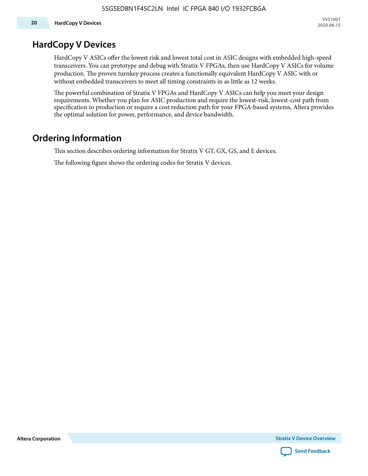## **HardCopy V Devices**

HardCopy V ASICs offer the lowest risk and lowest total cost in ASIC designs with embedded high-speed transceivers. You can prototype and debug with Stratix V FPGAs, then use HardCopy V ASICs for volume production. The proven turnkey process creates a functionally equivalent HardCopy V ASIC with or without embedded transceivers to meet all timing constraints in as little as 12 weeks.

The powerful combination of Stratix V FPGAs and HardCopy V ASICs can help you meet your design requirements. Whether you plan for ASIC production and require the lowest-risk, lowest-cost path from specification to production or require a cost reduction path for your FPGA-based systems, Altera provides the optimal solution for power, performance, and device bandwidth.

# **Ordering Information**

This section describes ordering information for Stratix V GT, GX, GS, and E devices.

The following figure shows the ordering codes for Stratix V devices.

**Altera Corporation** 

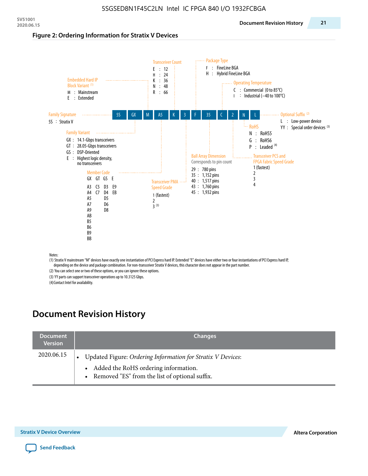#### **Figure 2: Ordering Information for Stratix V Devices**



(1) Stratix V mainstream "M" devices have exactly one instantiation of PCI Express hard IP. Extended "E" devices have either two or four instantiations of PCI Express hard IP, depending on the device and package combination. For non-transceiver Stratix V devices, this character does not appear in the part number.

(2) You can select one or two of these options, or you can ignore these options.

(3) YY parts can support transceiver operations up to 10.3125 Gbps.

(4) Contact Intel for availability.

# **Document Revision History**

| <b>Document</b><br><b>Version</b> | <b>Changes</b>                                                                                                                                            |
|-----------------------------------|-----------------------------------------------------------------------------------------------------------------------------------------------------------|
| 2020.06.15                        | Updated Figure: Ordering Information for Stratix V Devices:<br>• Added the RoHS ordering information.<br>• Removed "ES" from the list of optional suffix. |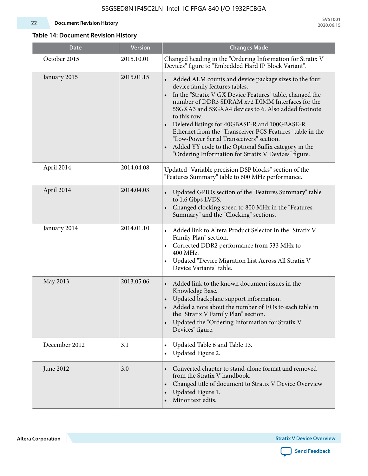**SV51001 2020.06.15**

### **Table 14: Document Revision History**

| <b>Date</b>   | <b>Version</b> | <b>Changes Made</b>                                                                                                                                                                                                                                                                                                                                                                                                                                                                                                                                                                             |
|---------------|----------------|-------------------------------------------------------------------------------------------------------------------------------------------------------------------------------------------------------------------------------------------------------------------------------------------------------------------------------------------------------------------------------------------------------------------------------------------------------------------------------------------------------------------------------------------------------------------------------------------------|
| October 2015  | 2015.10.01     | Changed heading in the "Ordering Information for Stratix V<br>Devices" figure to "Embedded Hard IP Block Variant".                                                                                                                                                                                                                                                                                                                                                                                                                                                                              |
| January 2015  | 2015.01.15     | Added ALM counts and device package sizes to the four<br>$\bullet$<br>device family features tables.<br>In the "Stratix V GX Device Features" table, changed the<br>$\bullet$<br>number of DDR3 SDRAM x72 DIMM Interfaces for the<br>5SGXA3 and 5SGXA4 devices to 6. Also added footnote<br>to this row.<br>Deleted listings for 40GBASE-R and 100GBASE-R<br>Ethernet from the "Transceiver PCS Features" table in the<br>"Low-Power Serial Transceivers" section.<br>Added YY code to the Optional Suffix category in the<br>$\bullet$<br>"Ordering Information for Stratix V Devices" figure. |
| April 2014    | 2014.04.08     | Updated "Variable precision DSP blocks" section of the<br>"Features Summary" table to 600 MHz performance.                                                                                                                                                                                                                                                                                                                                                                                                                                                                                      |
| April 2014    | 2014.04.03     | Updated GPIOs section of the "Features Summary" table<br>$\bullet$<br>to 1.6 Gbps LVDS.<br>Changed clocking speed to 800 MHz in the "Features<br>Summary" and the "Clocking" sections.                                                                                                                                                                                                                                                                                                                                                                                                          |
| January 2014  | 2014.01.10     | Added link to Altera Product Selector in the "Stratix V<br>Family Plan" section.<br>Corrected DDR2 performance from 533 MHz to<br>$\bullet$<br>400 MHz.<br>Updated "Device Migration List Across All Stratix V<br>Device Variants" table.                                                                                                                                                                                                                                                                                                                                                       |
| May 2013      | 2013.05.06     | Added link to the known document issues in the<br>Knowledge Base.<br>Updated backplane support information.<br>$\bullet$<br>Added a note about the number of I/Os to each table in<br>the "Stratix V Family Plan" section.<br>Updated the "Ordering Information for Stratix V<br>$\bullet$<br>Devices" figure.                                                                                                                                                                                                                                                                                  |
| December 2012 | 3.1            | Updated Table 6 and Table 13.<br>$\bullet$<br>Updated Figure 2.<br>$\bullet$                                                                                                                                                                                                                                                                                                                                                                                                                                                                                                                    |
| June 2012     | 3.0            | Converted chapter to stand-alone format and removed<br>from the Stratix V handbook.<br>Changed title of document to Stratix V Device Overview<br>$\bullet$<br>Updated Figure 1.<br>$\bullet$<br>Minor text edits.                                                                                                                                                                                                                                                                                                                                                                               |

**Altera Corporation** 

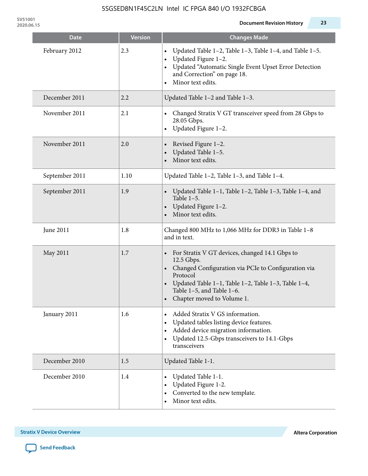**Date Changes Made Changes Made** 

| February 2012  | 2.3  | Updated Table 1-2, Table 1-3, Table 1-4, and Table 1-5.<br>$\bullet$<br>Updated Figure 1-2.<br>$\bullet$<br>Updated "Automatic Single Event Upset Error Detection<br>and Correction" on page 18.<br>Minor text edits.                                                       |
|----------------|------|-----------------------------------------------------------------------------------------------------------------------------------------------------------------------------------------------------------------------------------------------------------------------------|
| December 2011  | 2.2  | Updated Table 1-2 and Table 1-3.                                                                                                                                                                                                                                            |
| November 2011  | 2.1  | Changed Stratix V GT transceiver speed from 28 Gbps to<br>28.05 Gbps.<br>Updated Figure 1-2.                                                                                                                                                                                |
| November 2011  | 2.0  | Revised Figure 1-2.<br>Updated Table 1-5.<br>Minor text edits.                                                                                                                                                                                                              |
| September 2011 | 1.10 | Updated Table 1-2, Table 1-3, and Table 1-4.                                                                                                                                                                                                                                |
| September 2011 | 1.9  | Updated Table 1-1, Table 1-2, Table 1-3, Table 1-4, and<br>Table $1-5$ .<br>Updated Figure 1-2.<br>Minor text edits.                                                                                                                                                        |
| June 2011      | 1.8  | Changed 800 MHz to 1,066 MHz for DDR3 in Table 1-8<br>and in text.                                                                                                                                                                                                          |
| May 2011       | 1.7  | For Stratix V GT devices, changed 14.1 Gbps to<br>12.5 Gbps.<br>Changed Configuration via PCIe to Configuration via<br>$\bullet$<br>Protocol<br>Updated Table 1–1, Table 1–2, Table 1–3, Table 1–4,<br>Table 1-5, and Table 1-6.<br>Chapter moved to Volume 1.<br>$\bullet$ |
| January 2011   | 1.6  | • Added Stratix V GS information.<br>Updated tables listing device features.<br>$\bullet$<br>Added device migration information.<br>$\bullet$<br>Updated 12.5-Gbps transceivers to 14.1-Gbps<br>$\bullet$<br>transceivers                                                   |
| December 2010  | 1.5  | Updated Table 1-1.                                                                                                                                                                                                                                                          |
| December 2010  | 1.4  | Updated Table 1-1.<br>Updated Figure 1-2.<br>Converted to the new template.<br>Minor text edits.                                                                                                                                                                            |

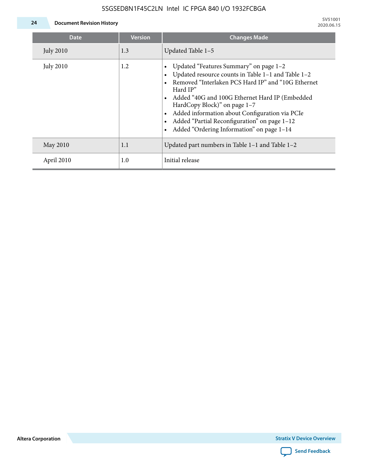

**24 Document Revision History**

| <b>Date</b>      | <b>Version</b> | <b>Changes Made</b>                                                                                                                                                                                                                                                                                                                                                                             |
|------------------|----------------|-------------------------------------------------------------------------------------------------------------------------------------------------------------------------------------------------------------------------------------------------------------------------------------------------------------------------------------------------------------------------------------------------|
| <b>July 2010</b> | 1.3            | Updated Table 1-5                                                                                                                                                                                                                                                                                                                                                                               |
| <b>July 2010</b> | 1.2            | Updated "Features Summary" on page 1-2<br>Updated resource counts in Table 1-1 and Table 1-2<br>Removed "Interlaken PCS Hard IP" and "10G Ethernet<br>Hard IP"<br>Added "40G and 100G Ethernet Hard IP (Embedded<br>HardCopy Block)" on page 1-7<br>Added information about Configuration via PCIe<br>Added "Partial Reconfiguration" on page 1-12<br>Added "Ordering Information" on page 1-14 |
| May 2010         | 1.1            | Updated part numbers in Table $1-1$ and Table $1-2$                                                                                                                                                                                                                                                                                                                                             |
| April 2010       | 1.0            | Initial release                                                                                                                                                                                                                                                                                                                                                                                 |

**Altera Corporation**